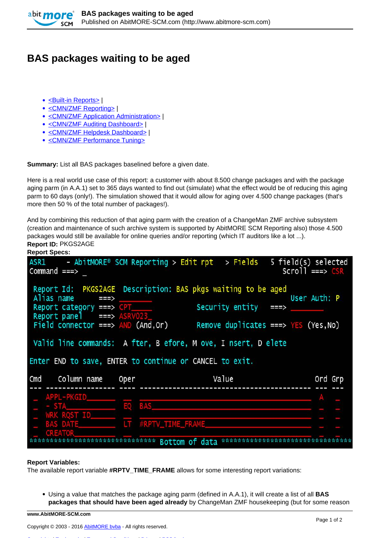

## **BAS packages waiting to be aged**

- [<Built-in Reports>](http://www.abitmore-scm.com/taxonomy/term/69) |
- [<CMN/ZMF Reporting>](http://www.abitmore-scm.com/taxonomy/term/12) |
- [<CMN/ZMF Application Administration>](http://www.abitmore-scm.com/taxonomy/term/70) I
- [<CMN/ZMF Auditing Dashboard>](http://www.abitmore-scm.com/taxonomy/term/71) |
- [<CMN/ZMF Helpdesk Dashboard>](http://www.abitmore-scm.com/taxonomy/term/74) |
- [<CMN/ZMF Performance Tuning>](http://www.abitmore-scm.com/taxonomy/term/77)

**Summary:** List all BAS packages baselined before a given date.

Here is a real world use case of this report: a customer with about 8.500 change packages and with the package aging parm (in A.A.1) set to 365 days wanted to find out (simulate) what the effect would be of reducing this aging parm to 60 days (only!). The simulation showed that it would allow for aging over 4.500 change packages (that's more then 50 % of the total number of packages!).

And by combining this reduction of that aging parm with the creation of a ChangeMan ZMF archive subsystem (creation and maintenance of such archive system is supported by AbitMORE SCM Reporting also) those 4.500 packages would still be available for online queries and/or reporting (which IT auditors like a lot ...). **Report ID:** PKGS2AGE **Report Specs:** 

| nepult opecs.                                                                                     |                     |                                                                                      |                                            |
|---------------------------------------------------------------------------------------------------|---------------------|--------------------------------------------------------------------------------------|--------------------------------------------|
| ASR1<br>Command ===>                                                                              |                     | - AbitMORE® SCM Reporting > Edit rpt > Fields                                        | 5 field(s) selected<br>$Scrol1$ ===> $CSR$ |
| Alias name<br>$\Rightarrow$<br>Report category $==$ > $CPT$<br>Report panel $\equiv$ == > ASRV023 |                     | Report Id: PKGS2AGE Description: BAS pkgs waiting to be aged<br>Security entity $==$ | User Auth: P                               |
| Field connector ===> $AND (And, Or)$                                                              |                     | Remove duplicates ===> $YES$ (Yes, No)                                               |                                            |
|                                                                                                   |                     | Valid line commands: A fter, B efore, M ove, I nsert, D elete                        |                                            |
| Enter END to save, ENTER to continue or CANCEL to exit.                                           |                     |                                                                                      |                                            |
| Cmd<br>Column name                                                                                | Oper                | Value                                                                                | Ord Grp                                    |
|                                                                                                   |                     |                                                                                      |                                            |
| APPL-PKGID                                                                                        |                     |                                                                                      |                                            |
| $-$ STA                                                                                           | EO BAS              |                                                                                      |                                            |
| <b>WRK ROST ID</b>                                                                                |                     |                                                                                      |                                            |
| <b>BAS DATE</b><br><b>CREATOR</b>                                                                 | LT #RPTV_TIME_FRAME |                                                                                      |                                            |

## **Report Variables:**

The available report variable **#RPTV\_TIME\_FRAME** allows for some interesting report variations:

Using a value that matches the package aging parm (defined in A.A.1), it will create a list of all **BAS packages that should have been aged already** by ChangeMan ZMF housekeeping (but for some reason

**www.AbitMORE-SCM.com**

[Copyrights](http://www.abitmore-scm.com/legal/copyrights) | [Trademarks](http://www.abitmore-scm.com/legal/trademarks) | [Terms and Conditions](http://www.abitmore-scm.com/legal/terms) | [Privacy](http://www.abitmore-scm.com/legal/privacy) | [RSS feeds](http://www.abitmore-scm.com/rss.xml)